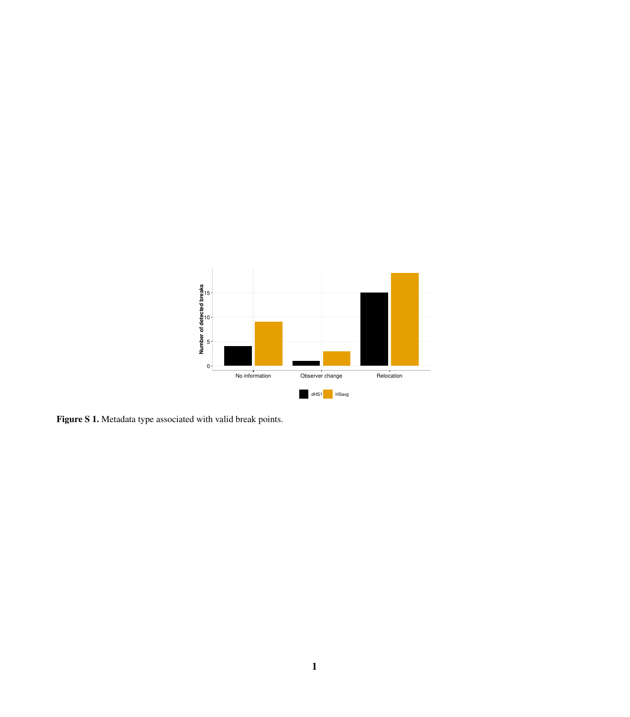

Figure S 1. Metadata type associated with valid break points.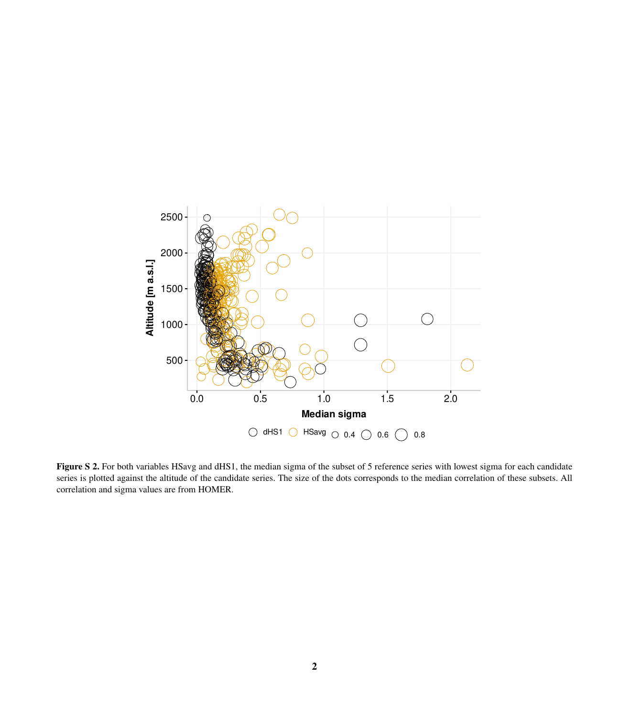

Figure S 2. For both variables HSavg and dHS1, the median sigma of the subset of 5 reference series with lowest sigma for each candidate series is plotted against the altitude of the candidate series. The size of the dots corresponds to the median correlation of these subsets. All correlation and sigma values are from HOMER.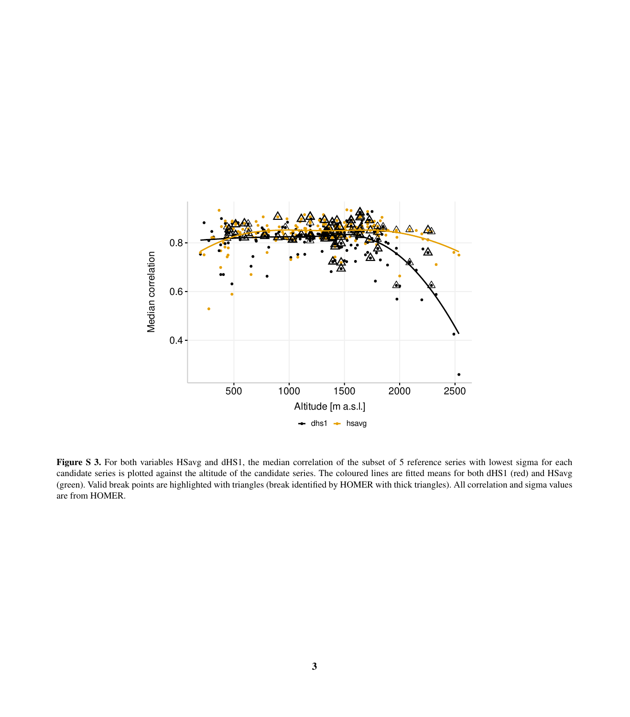

Figure S 3. For both variables HSavg and dHS1, the median correlation of the subset of 5 reference series with lowest sigma for each candidate series is plotted against the altitude of the candidate series. The coloured lines are fitted means for both dHS1 (red) and HSavg (green). Valid break points are highlighted with triangles (break identified by HOMER with thick triangles). All correlation and sigma values are from HOMER.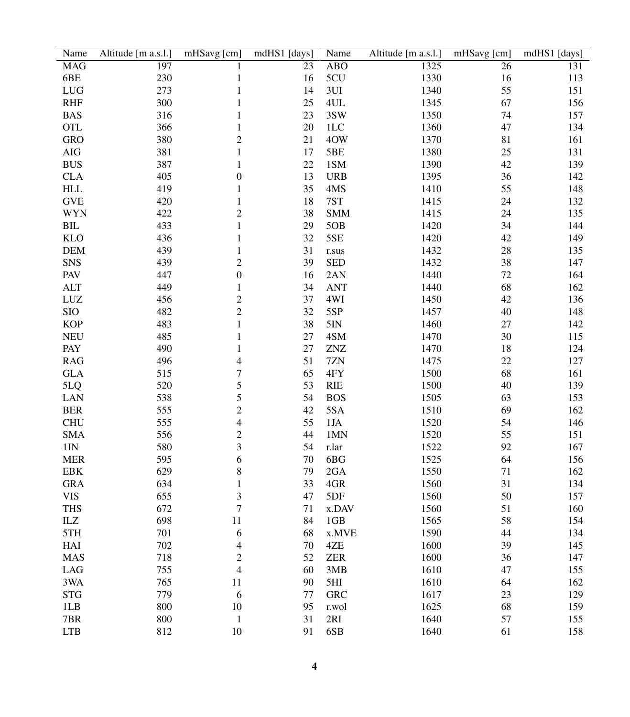| Name            | Altitude [m a.s.l.] | mHSavg [cm]    | mdHS1 [days] | Name       | Altitude [m a.s.l.] | mHSavg [cm] | mdHS1 [days] |
|-----------------|---------------------|----------------|--------------|------------|---------------------|-------------|--------------|
| <b>MAG</b>      | 197                 | 1              | 23           | <b>ABO</b> | 1325                | 26          | 131          |
| 6BE             | 230                 | 1              | 16           | 5CU        | 1330                | 16          | 113          |
| <b>LUG</b>      | 273                 | 1              | 14           | 3UI        | 1340                | 55          | 151          |
| <b>RHF</b>      | 300                 | 1              | 25           | 4UL        | 1345                | 67          | 156          |
| <b>BAS</b>      | 316                 | 1              | 23           | 3SW        | 1350                | 74          | 157          |
| <b>OTL</b>      | 366                 | 1              | 20           | 1LC        | 1360                | 47          | 134          |
| <b>GRO</b>      | 380                 | 2              | 21           | 4OW        | 1370                | 81          | 161          |
| AIG             | 381                 | 1              | 17           | 5BE        | 1380                | 25          | 131          |
| <b>BUS</b>      | 387                 | 1              | 22           | 1SM        | 1390                | 42          | 139          |
| <b>CLA</b>      | 405                 | 0              | 13           | <b>URB</b> | 1395                | 36          | 142          |
| <b>HLL</b>      | 419                 | 1              | 35           | 4MS        | 1410                | 55          | 148          |
| <b>GVE</b>      | 420                 | 1              | 18           | 7ST        | 1415                | 24          | 132          |
| <b>WYN</b>      | 422                 | 2              | 38           | <b>SMM</b> | 1415                | 24          | 135          |
| BIL             | 433                 | 1              | 29           | 5OB        | 1420                | 34          | 144          |
| <b>KLO</b>      | 436                 | 1              | 32           | 5SE        | 1420                | 42          | 149          |
| <b>DEM</b>      | 439                 | 1              | 31           | r.sus      | 1432                | 28          | 135          |
| <b>SNS</b>      | 439                 | 2              | 39           | <b>SED</b> | 1432                | 38          | 147          |
| PAV             | 447                 | $\overline{0}$ | 16           | 2AN        | 1440                | 72          | 164          |
| <b>ALT</b>      | 449                 | 1              | 34           | <b>ANT</b> | 1440                | 68          | 162          |
| LUZ             | 456                 | $\overline{c}$ | 37           | 4WI        | 1450                | 42          | 136          |
| <b>SIO</b>      | 482                 | $\overline{c}$ | 32           | 5SP        | 1457                | 40          | 148          |
| <b>KOP</b>      | 483                 | 1              | 38           | 5IN        | 1460                | $27\,$      | 142          |
| <b>NEU</b>      | 485                 | 1              | 27           | 4SM        | 1470                | 30          | 115          |
| PAY             | 490                 | 1              | 27           | <b>ZNZ</b> | 1470                | 18          | 124          |
| <b>RAG</b>      | 496                 | 4              | 51           | 7ZN        | 1475                | 22          | 127          |
| <b>GLA</b>      | 515                 | 7              | 65           | 4FY        | 1500                | 68          | 161          |
| 5LQ             | 520                 | 5              | 53           | <b>RIE</b> | 1500                | 40          | 139          |
| LAN             | 538                 | 5              | 54           | <b>BOS</b> | 1505                | 63          | 153          |
| <b>BER</b>      | 555                 | $\overline{c}$ | 42           | 5SA        | 1510                | 69          | 162          |
| <b>CHU</b>      | 555                 | 4              | 55           | 1JA        | 1520                | 54          | 146          |
| <b>SMA</b>      | 556                 | $\overline{c}$ | 44           | 1MN        | 1520                | 55          | 151          |
| 1 <sub>IN</sub> | 580                 | 3              | 54           | r.lar      | 1522                | 92          | 167          |
| <b>MER</b>      | 595                 | 6              | 70           | 6BG        | 1525                | 64          | 156          |
| <b>EBK</b>      | 629                 | 8              | 79           | 2GA        | 1550                | 71          | 162          |
| <b>GRA</b>      | 634                 | 1              | 33           | 4GR        | 1560                | 31          | 134          |
| <b>VIS</b>      | 655                 | 3              | 47           | 5DF        | 1560                | 50          | 157          |
| <b>THS</b>      | 672                 | 7              | 71           | x.DAV      | 1560                | 51          | 160          |
| $\rm I LZ$      | 698                 | 11             | 84           | 1GB        | 1565                | 58          | 154          |
| 5TH             | 701                 | 6              | 68           | x.MVE      | 1590                | 44          | 134          |
| HAI             | 702                 | $\overline{4}$ | $70\,$       | 4ZE        | 1600                | 39          | 145          |
| <b>MAS</b>      | 718                 | $\overline{c}$ | 52           | <b>ZER</b> | 1600                | 36          | 147          |
| LAG             | 755                 | $\overline{4}$ | 60           | 3MB        | 1610                | 47          | 155          |
| 3WA             | 765                 | 11             | 90           | 5HI        | 1610                | 64          | 162          |
|                 | 779                 | 6              | 77           |            |                     |             |              |
| <b>STG</b>      | 800                 | 10             | 95           | <b>GRC</b> | 1617                | 23<br>68    | 129          |
| 1LB             |                     |                |              | r.wol      | 1625                |             | 159          |
| 7BR             | 800                 | $\mathbf{1}$   | 31           | 2RI        | 1640                | 57          | 155          |
| <b>LTB</b>      | 812                 | $10\,$         | 91           | 6SB        | 1640                | 61          | 158          |